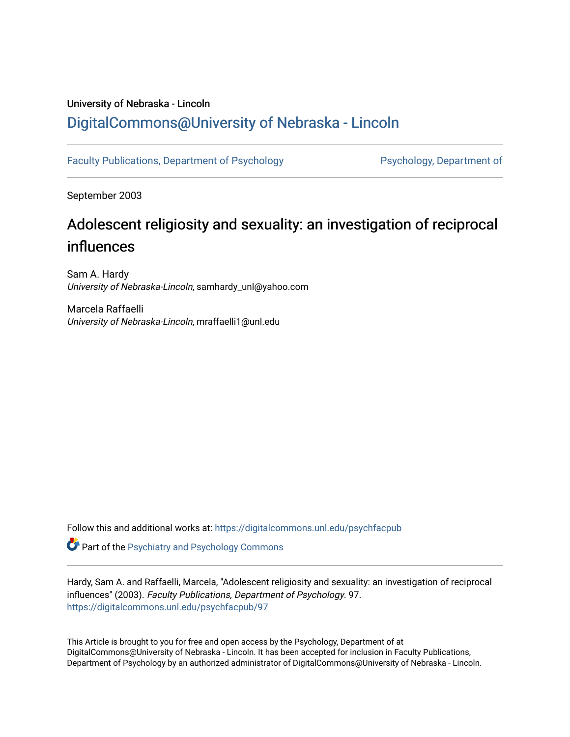## University of Nebraska - Lincoln [DigitalCommons@University of Nebraska - Lincoln](https://digitalcommons.unl.edu/)

[Faculty Publications, Department of Psychology](https://digitalcommons.unl.edu/psychfacpub) Psychology, Department of

September 2003

# Adolescent religiosity and sexuality: an investigation of reciprocal influences

Sam A. Hardy University of Nebraska-Lincoln, samhardy\_unl@yahoo.com

Marcela Raffaelli University of Nebraska-Lincoln, mraffaelli1@unl.edu

Follow this and additional works at: [https://digitalcommons.unl.edu/psychfacpub](https://digitalcommons.unl.edu/psychfacpub?utm_source=digitalcommons.unl.edu%2Fpsychfacpub%2F97&utm_medium=PDF&utm_campaign=PDFCoverPages) 

**Part of the Psychiatry and Psychology Commons** 

Hardy, Sam A. and Raffaelli, Marcela, "Adolescent religiosity and sexuality: an investigation of reciprocal influences" (2003). Faculty Publications, Department of Psychology. 97. [https://digitalcommons.unl.edu/psychfacpub/97](https://digitalcommons.unl.edu/psychfacpub/97?utm_source=digitalcommons.unl.edu%2Fpsychfacpub%2F97&utm_medium=PDF&utm_campaign=PDFCoverPages)

This Article is brought to you for free and open access by the Psychology, Department of at DigitalCommons@University of Nebraska - Lincoln. It has been accepted for inclusion in Faculty Publications, Department of Psychology by an authorized administrator of DigitalCommons@University of Nebraska - Lincoln.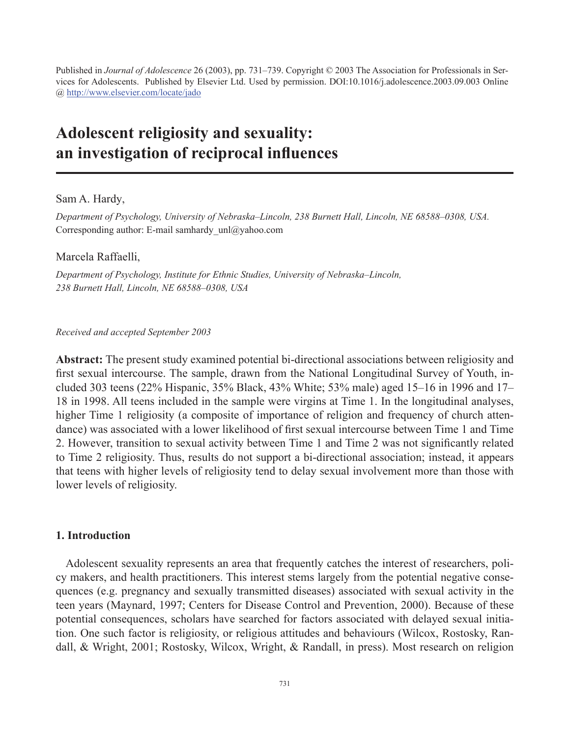Published in *Journal of Adolescence* 26 (2003), pp. 731–739. Copyright © 2003 The Association for Professionals in Services for Adolescents. Published by Elsevier Ltd. Used by permission. DOI:10.1016/j.adolescence.2003.09.003 Online @ http://www.elsevier.com/locate/jado

## **Adolescent religiosity and sexuality: an investigation of reciprocal influences**

## Sam A. Hardy,

*Department of Psychology, University of Nebraska–Lincoln, 238 Burnett Hall, Lincoln, NE 68588–0308, USA.* Corresponding author: E-mail samhardy\_unl@yahoo.com

Marcela Raffaelli,

*Department of Psychology, Institute for Ethnic Studies, University of Nebraska–Lincoln, 238 Burnett Hall, Lincoln, NE 68588–0308, USA*

*Received and accepted September 2003*

**Abstract:** The present study examined potential bi-directional associations between religiosity and first sexual intercourse. The sample, drawn from the National Longitudinal Survey of Youth, included 303 teens (22% Hispanic, 35% Black, 43% White; 53% male) aged 15–16 in 1996 and 17– 18 in 1998. All teens included in the sample were virgins at Time 1. In the longitudinal analyses, higher Time 1 religiosity (a composite of importance of religion and frequency of church attendance) was associated with a lower likelihood of first sexual intercourse between Time 1 and Time 2. However, transition to sexual activity between Time 1 and Time 2 was not significantly related to Time 2 religiosity. Thus, results do not support a bi-directional association; instead, it appears that teens with higher levels of religiosity tend to delay sexual involvement more than those with lower levels of religiosity.

## **1. Introduction**

Adolescent sexuality represents an area that frequently catches the interest of researchers, policy makers, and health practitioners. This interest stems largely from the potential negative consequences (e.g. pregnancy and sexually transmitted diseases) associated with sexual activity in the teen years (Maynard, 1997; Centers for Disease Control and Prevention, 2000). Because of these potential consequences, scholars have searched for factors associated with delayed sexual initiation. One such factor is religiosity, or religious attitudes and behaviours (Wilcox, Rostosky, Randall, & Wright, 2001; Rostosky, Wilcox, Wright, & Randall, in press). Most research on religion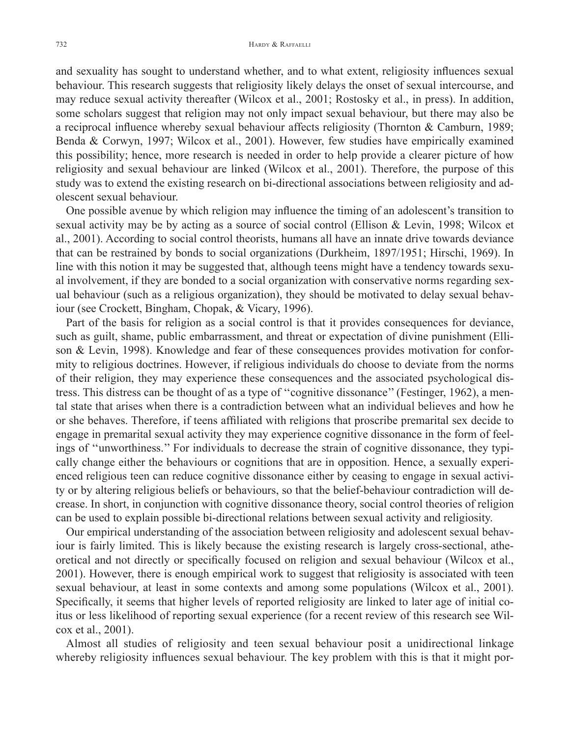and sexuality has sought to understand whether, and to what extent, religiosity influences sexual behaviour. This research suggests that religiosity likely delays the onset of sexual intercourse, and may reduce sexual activity thereafter (Wilcox et al., 2001; Rostosky et al., in press). In addition, some scholars suggest that religion may not only impact sexual behaviour, but there may also be a reciprocal influence whereby sexual behaviour affects religiosity (Thornton & Camburn, 1989; Benda & Corwyn, 1997; Wilcox et al., 2001). However, few studies have empirically examined this possibility; hence, more research is needed in order to help provide a clearer picture of how religiosity and sexual behaviour are linked (Wilcox et al., 2001). Therefore, the purpose of this study was to extend the existing research on bi-directional associations between religiosity and adolescent sexual behaviour.

One possible avenue by which religion may influence the timing of an adolescent's transition to sexual activity may be by acting as a source of social control (Ellison & Levin, 1998; Wilcox et al., 2001). According to social control theorists, humans all have an innate drive towards deviance that can be restrained by bonds to social organizations (Durkheim, 1897/1951; Hirschi, 1969). In line with this notion it may be suggested that, although teens might have a tendency towards sexual involvement, if they are bonded to a social organization with conservative norms regarding sexual behaviour (such as a religious organization), they should be motivated to delay sexual behaviour (see Crockett, Bingham, Chopak, & Vicary, 1996).

Part of the basis for religion as a social control is that it provides consequences for deviance, such as guilt, shame, public embarrassment, and threat or expectation of divine punishment (Ellison & Levin, 1998). Knowledge and fear of these consequences provides motivation for conformity to religious doctrines. However, if religious individuals do choose to deviate from the norms of their religion, they may experience these consequences and the associated psychological distress. This distress can be thought of as a type of ''cognitive dissonance'' (Festinger, 1962), a mental state that arises when there is a contradiction between what an individual believes and how he or she behaves. Therefore, if teens affiliated with religions that proscribe premarital sex decide to engage in premarital sexual activity they may experience cognitive dissonance in the form of feelings of ''unworthiness.'' For individuals to decrease the strain of cognitive dissonance, they typically change either the behaviours or cognitions that are in opposition. Hence, a sexually experienced religious teen can reduce cognitive dissonance either by ceasing to engage in sexual activity or by altering religious beliefs or behaviours, so that the belief-behaviour contradiction will decrease. In short, in conjunction with cognitive dissonance theory, social control theories of religion can be used to explain possible bi-directional relations between sexual activity and religiosity.

Our empirical understanding of the association between religiosity and adolescent sexual behaviour is fairly limited. This is likely because the existing research is largely cross-sectional, atheoretical and not directly or specifically focused on religion and sexual behaviour (Wilcox et al., 2001). However, there is enough empirical work to suggest that religiosity is associated with teen sexual behaviour, at least in some contexts and among some populations (Wilcox et al., 2001). Specifically, it seems that higher levels of reported religiosity are linked to later age of initial coitus or less likelihood of reporting sexual experience (for a recent review of this research see Wilcox et al., 2001).

Almost all studies of religiosity and teen sexual behaviour posit a unidirectional linkage whereby religiosity influences sexual behaviour. The key problem with this is that it might por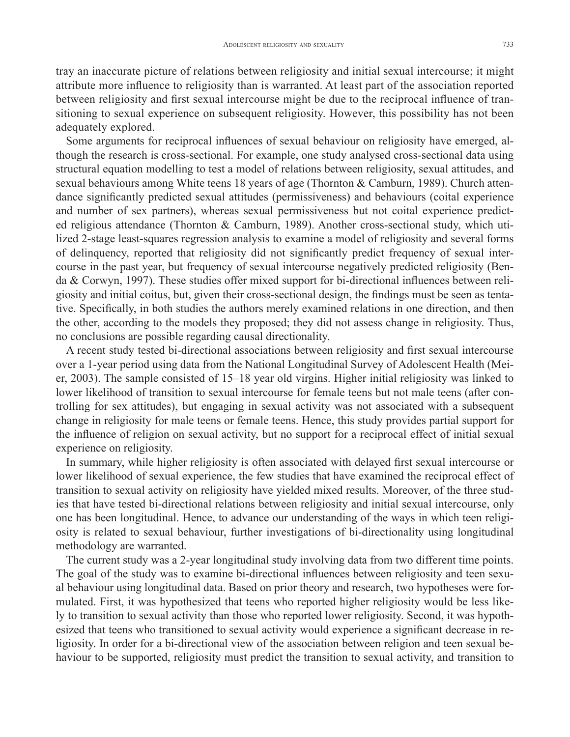tray an inaccurate picture of relations between religiosity and initial sexual intercourse; it might attribute more influence to religiosity than is warranted. At least part of the association reported between religiosity and first sexual intercourse might be due to the reciprocal influence of transitioning to sexual experience on subsequent religiosity. However, this possibility has not been adequately explored.

Some arguments for reciprocal influences of sexual behaviour on religiosity have emerged, although the research is cross-sectional. For example, one study analysed cross-sectional data using structural equation modelling to test a model of relations between religiosity, sexual attitudes, and sexual behaviours among White teens 18 years of age (Thornton & Camburn, 1989). Church attendance significantly predicted sexual attitudes (permissiveness) and behaviours (coital experience and number of sex partners), whereas sexual permissiveness but not coital experience predicted religious attendance (Thornton & Camburn, 1989). Another cross-sectional study, which utilized 2-stage least-squares regression analysis to examine a model of religiosity and several forms of delinquency, reported that religiosity did not significantly predict frequency of sexual intercourse in the past year, but frequency of sexual intercourse negatively predicted religiosity (Benda & Corwyn, 1997). These studies offer mixed support for bi-directional influences between religiosity and initial coitus, but, given their cross-sectional design, the findings must be seen as tentative. Specifically, in both studies the authors merely examined relations in one direction, and then the other, according to the models they proposed; they did not assess change in religiosity. Thus, no conclusions are possible regarding causal directionality.

A recent study tested bi-directional associations between religiosity and first sexual intercourse over a 1-year period using data from the National Longitudinal Survey of Adolescent Health (Meier, 2003). The sample consisted of 15–18 year old virgins. Higher initial religiosity was linked to lower likelihood of transition to sexual intercourse for female teens but not male teens (after controlling for sex attitudes), but engaging in sexual activity was not associated with a subsequent change in religiosity for male teens or female teens. Hence, this study provides partial support for the influence of religion on sexual activity, but no support for a reciprocal effect of initial sexual experience on religiosity.

In summary, while higher religiosity is often associated with delayed first sexual intercourse or lower likelihood of sexual experience, the few studies that have examined the reciprocal effect of transition to sexual activity on religiosity have yielded mixed results. Moreover, of the three studies that have tested bi-directional relations between religiosity and initial sexual intercourse, only one has been longitudinal. Hence, to advance our understanding of the ways in which teen religiosity is related to sexual behaviour, further investigations of bi-directionality using longitudinal methodology are warranted.

The current study was a 2-year longitudinal study involving data from two different time points. The goal of the study was to examine bi-directional influences between religiosity and teen sexual behaviour using longitudinal data. Based on prior theory and research, two hypotheses were formulated. First, it was hypothesized that teens who reported higher religiosity would be less likely to transition to sexual activity than those who reported lower religiosity. Second, it was hypothesized that teens who transitioned to sexual activity would experience a significant decrease in religiosity. In order for a bi-directional view of the association between religion and teen sexual behaviour to be supported, religiosity must predict the transition to sexual activity, and transition to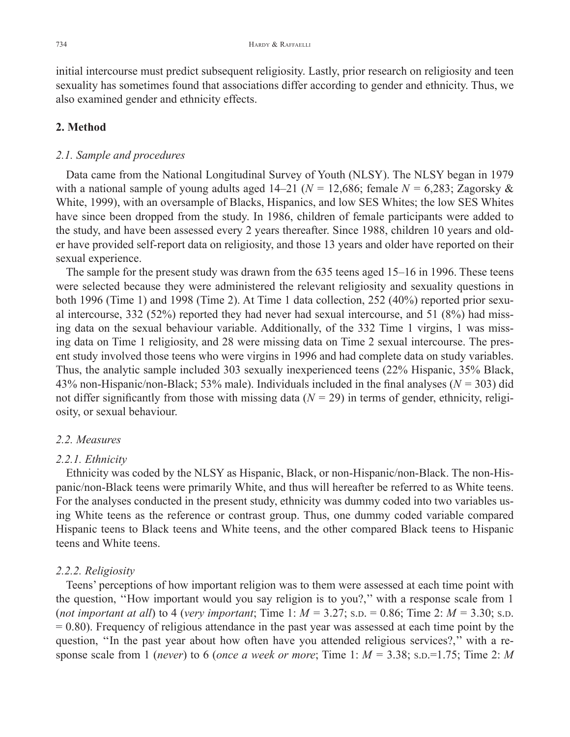initial intercourse must predict subsequent religiosity. Lastly, prior research on religiosity and teen sexuality has sometimes found that associations differ according to gender and ethnicity. Thus, we also examined gender and ethnicity effects.

## **2. Method**

## *2.1. Sample and procedures*

Data came from the National Longitudinal Survey of Youth (NLSY). The NLSY began in 1979 with a national sample of young adults aged 14–21 (*N =* 12,686; female *N =* 6,283; Zagorsky & White, 1999), with an oversample of Blacks, Hispanics, and low SES Whites; the low SES Whites have since been dropped from the study. In 1986, children of female participants were added to the study, and have been assessed every 2 years thereafter. Since 1988, children 10 years and older have provided self-report data on religiosity, and those 13 years and older have reported on their sexual experience.

The sample for the present study was drawn from the 635 teens aged 15–16 in 1996. These teens were selected because they were administered the relevant religiosity and sexuality questions in both 1996 (Time 1) and 1998 (Time 2). At Time 1 data collection, 252 (40%) reported prior sexual intercourse, 332 (52%) reported they had never had sexual intercourse, and 51 (8%) had missing data on the sexual behaviour variable. Additionally, of the 332 Time 1 virgins, 1 was missing data on Time 1 religiosity, and 28 were missing data on Time 2 sexual intercourse. The present study involved those teens who were virgins in 1996 and had complete data on study variables. Thus, the analytic sample included 303 sexually inexperienced teens (22% Hispanic, 35% Black, 43% non-Hispanic/non-Black; 53% male). Individuals included in the final analyses (*N =* 303) did not differ significantly from those with missing data (*N =* 29) in terms of gender, ethnicity, religiosity, or sexual behaviour.

## *2.2. Measures*

## *2.2.1. Ethnicity*

Ethnicity was coded by the NLSY as Hispanic, Black, or non-Hispanic/non-Black. The non-Hispanic/non-Black teens were primarily White, and thus will hereafter be referred to as White teens. For the analyses conducted in the present study, ethnicity was dummy coded into two variables using White teens as the reference or contrast group. Thus, one dummy coded variable compared Hispanic teens to Black teens and White teens, and the other compared Black teens to Hispanic teens and White teens.

#### *2.2.2. Religiosity*

Teens' perceptions of how important religion was to them were assessed at each time point with the question, ''How important would you say religion is to you?,'' with a response scale from 1 (*not important at all*) to 4 (*very important*; Time 1: *M =* 3.27; S.D. = 0.86; Time 2: *M =* 3.30; S.D.  $= 0.80$ ). Frequency of religious attendance in the past year was assessed at each time point by the question, ''In the past year about how often have you attended religious services?,'' with a response scale from 1 (*never*) to 6 (*once a week or more*; Time 1: *M =* 3.38; S.D.=1.75; Time 2: *M*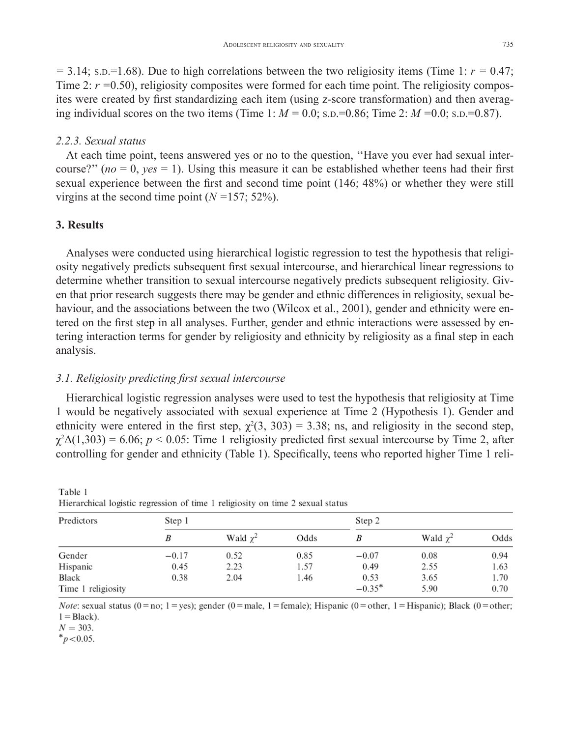$=$  3.14; s.p.=1.68). Due to high correlations between the two religiosity items (Time 1:  $r = 0.47$ ; Time 2:  $r = 0.50$ ), religiosity composites were formed for each time point. The religiosity composites were created by first standardizing each item (using z-score transformation) and then averaging individual scores on the two items (Time 1:  $M = 0.0$ ; s.p.=0.86; Time 2:  $M = 0.0$ ; s.p.=0.87).

#### *2.2.3. Sexual status*

At each time point, teens answered yes or no to the question, ''Have you ever had sexual intercourse?" ( $no = 0$ ,  $yes = 1$ ). Using this measure it can be established whether teens had their first sexual experience between the first and second time point (146; 48%) or whether they were still virgins at the second time point (*N =*157; 52%).

## **3. Results**

Analyses were conducted using hierarchical logistic regression to test the hypothesis that religiosity negatively predicts subsequent first sexual intercourse, and hierarchical linear regressions to determine whether transition to sexual intercourse negatively predicts subsequent religiosity. Given that prior research suggests there may be gender and ethnic differences in religiosity, sexual behaviour, and the associations between the two (Wilcox et al., 2001), gender and ethnicity were entered on the first step in all analyses. Further, gender and ethnic interactions were assessed by entering interaction terms for gender by religiosity and ethnicity by religiosity as a final step in each analysis.

## *3.1. Religiosity predicting first sexual intercourse*

Hierarchical logistic regression analyses were used to test the hypothesis that religiosity at Time 1 would be negatively associated with sexual experience at Time 2 (Hypothesis 1). Gender and ethnicity were entered in the first step,  $\chi^2(3, 303) = 3.38$ ; ns, and religiosity in the second step,  $\chi^2\Delta(1,303) = 6.06$ ;  $p < 0.05$ : Time 1 religiosity predicted first sexual intercourse by Time 2, after controlling for gender and ethnicity (Table 1). Specifically, teens who reported higher Time 1 reli-

| Predictors         | Step 1  |               |      | Step 2   |               |      |  |
|--------------------|---------|---------------|------|----------|---------------|------|--|
|                    | B       | Wald $\chi^2$ | Odds |          | Wald $\chi^2$ | Odds |  |
| Gender             | $-0.17$ | 0.52          | 0.85 | $-0.07$  | 0.08          | 0.94 |  |
| Hispanic           | 0.45    | 2.23          | 1.57 | 0.49     | 2.55          | 1.63 |  |
| Black              | 0.38    | 2.04          | 1.46 | 0.53     | 3.65          | 1.70 |  |
| Time 1 religiosity |         |               |      | $-0.35*$ | 5.90          | 0.70 |  |

| Hierarchical logistic regression of time 1 religiosity on time 2 sexual status |  |  |  |  |  |  |  |  |  |  |  |
|--------------------------------------------------------------------------------|--|--|--|--|--|--|--|--|--|--|--|
|--------------------------------------------------------------------------------|--|--|--|--|--|--|--|--|--|--|--|

*Note*: sexual status  $(0 = no; 1 = yes)$ ; gender  $(0 = male, 1 = female)$ ; Hispanic  $(0 = other, 1 = Hispanic)$ ; Black  $(0 = other; 1 = the)$  $1 = Black$ ).

 $N = 303$ .

Table 1

\* $p$  < 0.05.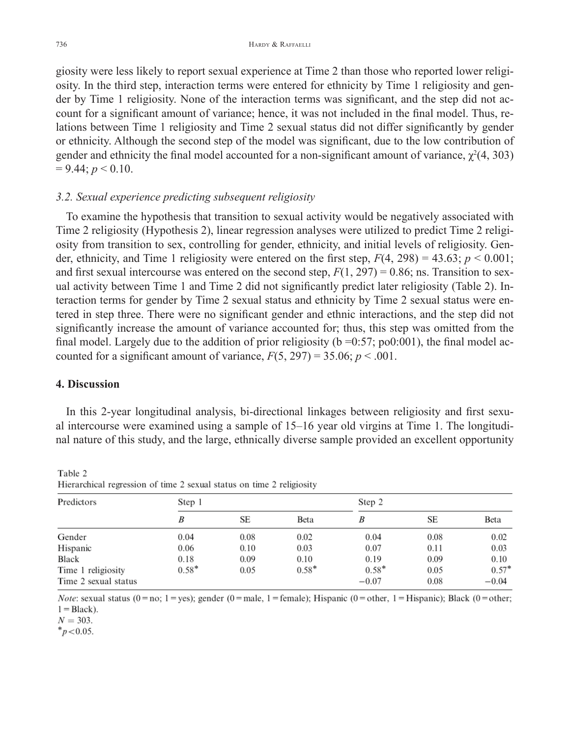giosity were less likely to report sexual experience at Time 2 than those who reported lower religiosity. In the third step, interaction terms were entered for ethnicity by Time 1 religiosity and gender by Time 1 religiosity. None of the interaction terms was significant, and the step did not account for a significant amount of variance; hence, it was not included in the final model. Thus, relations between Time 1 religiosity and Time 2 sexual status did not differ significantly by gender or ethnicity. Although the second step of the model was significant, due to the low contribution of gender and ethnicity the final model accounted for a non-significant amount of variance,  $\chi^2$ (4, 303)  $= 9.44$ ;  $p < 0.10$ .

## *3.2. Sexual experience predicting subsequent religiosity*

To examine the hypothesis that transition to sexual activity would be negatively associated with Time 2 religiosity (Hypothesis 2), linear regression analyses were utilized to predict Time 2 religiosity from transition to sex, controlling for gender, ethnicity, and initial levels of religiosity. Gender, ethnicity, and Time 1 religiosity were entered on the first step,  $F(4, 298) = 43.63$ ;  $p < 0.001$ ; and first sexual intercourse was entered on the second step,  $F(1, 297) = 0.86$ ; ns. Transition to sexual activity between Time 1 and Time 2 did not significantly predict later religiosity (Table 2). Interaction terms for gender by Time 2 sexual status and ethnicity by Time 2 sexual status were entered in step three. There were no significant gender and ethnic interactions, and the step did not significantly increase the amount of variance accounted for; thus, this step was omitted from the final model. Largely due to the addition of prior religiosity ( $b = 0.57$ ; po $0.001$ ), the final model accounted for a significant amount of variance,  $F(5, 297) = 35.06$ ;  $p < .001$ .

## **4. Discussion**

In this 2-year longitudinal analysis, bi-directional linkages between religiosity and first sexual intercourse were examined using a sample of 15–16 year old virgins at Time 1. The longitudinal nature of this study, and the large, ethnically diverse sample provided an excellent opportunity

| Predictors           | Step 1  |      |         | Step 2  |      |         |  |  |  |
|----------------------|---------|------|---------|---------|------|---------|--|--|--|
|                      | B       | SЕ   | Beta    | B       | SЕ   | Beta    |  |  |  |
| Gender               | 0.04    | 0.08 | 0.02    | 0.04    | 0.08 | 0.02    |  |  |  |
| Hispanic             | 0.06    | 0.10 | 0.03    | 0.07    | 0.11 | 0.03    |  |  |  |
| Black                | 0.18    | 0.09 | 0.10    | 0.19    | 0.09 | 0.10    |  |  |  |
| Time 1 religiosity   | $0.58*$ | 0.05 | $0.58*$ | $0.58*$ | 0.05 | $0.57*$ |  |  |  |
| Time 2 sexual status |         |      |         | $-0.07$ | 0.08 | $-0.04$ |  |  |  |

Table 2 Hierarchical regression of time 2 sexual status on time 2 religiosity

*Note*: sexual status ( $0 = no$ ;  $1 = yes$ ); gender ( $0 = male$ ,  $1 = female$ ); Hispanic ( $0 = other$ ,  $1 = Hispanic$ ); Black ( $0 = other$ ;  $1 = Black$ ).

 $N = 303.$ 

 $*_{p<0.05}$ .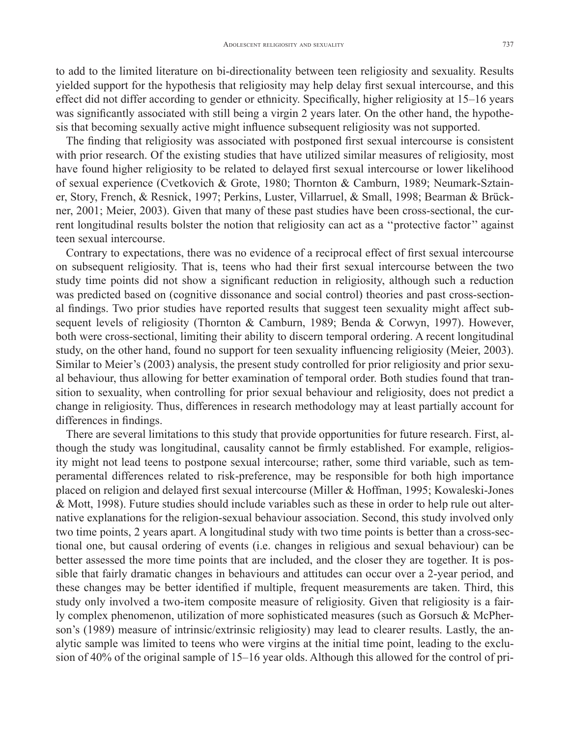to add to the limited literature on bi-directionality between teen religiosity and sexuality. Results yielded support for the hypothesis that religiosity may help delay first sexual intercourse, and this effect did not differ according to gender or ethnicity. Specifically, higher religiosity at 15–16 years was significantly associated with still being a virgin 2 years later. On the other hand, the hypothesis that becoming sexually active might influence subsequent religiosity was not supported.

The finding that religiosity was associated with postponed first sexual intercourse is consistent with prior research. Of the existing studies that have utilized similar measures of religiosity, most have found higher religiosity to be related to delayed first sexual intercourse or lower likelihood of sexual experience (Cvetkovich & Grote, 1980; Thornton & Camburn, 1989; Neumark-Sztainer, Story, French, & Resnick, 1997; Perkins, Luster, Villarruel, & Small, 1998; Bearman & Brückner, 2001; Meier, 2003). Given that many of these past studies have been cross-sectional, the current longitudinal results bolster the notion that religiosity can act as a ''protective factor'' against teen sexual intercourse.

Contrary to expectations, there was no evidence of a reciprocal effect of first sexual intercourse on subsequent religiosity. That is, teens who had their first sexual intercourse between the two study time points did not show a significant reduction in religiosity, although such a reduction was predicted based on (cognitive dissonance and social control) theories and past cross-sectional findings. Two prior studies have reported results that suggest teen sexuality might affect subsequent levels of religiosity (Thornton & Camburn, 1989; Benda & Corwyn, 1997). However, both were cross-sectional, limiting their ability to discern temporal ordering. A recent longitudinal study, on the other hand, found no support for teen sexuality influencing religiosity (Meier, 2003). Similar to Meier's (2003) analysis, the present study controlled for prior religiosity and prior sexual behaviour, thus allowing for better examination of temporal order. Both studies found that transition to sexuality, when controlling for prior sexual behaviour and religiosity, does not predict a change in religiosity. Thus, differences in research methodology may at least partially account for differences in findings.

There are several limitations to this study that provide opportunities for future research. First, although the study was longitudinal, causality cannot be firmly established. For example, religiosity might not lead teens to postpone sexual intercourse; rather, some third variable, such as temperamental differences related to risk-preference, may be responsible for both high importance placed on religion and delayed first sexual intercourse (Miller & Hoffman, 1995; Kowaleski-Jones & Mott, 1998). Future studies should include variables such as these in order to help rule out alternative explanations for the religion-sexual behaviour association. Second, this study involved only two time points, 2 years apart. A longitudinal study with two time points is better than a cross-sectional one, but causal ordering of events (i.e. changes in religious and sexual behaviour) can be better assessed the more time points that are included, and the closer they are together. It is possible that fairly dramatic changes in behaviours and attitudes can occur over a 2-year period, and these changes may be better identified if multiple, frequent measurements are taken. Third, this study only involved a two-item composite measure of religiosity. Given that religiosity is a fairly complex phenomenon, utilization of more sophisticated measures (such as Gorsuch & McPherson's (1989) measure of intrinsic/extrinsic religiosity) may lead to clearer results. Lastly, the analytic sample was limited to teens who were virgins at the initial time point, leading to the exclusion of 40% of the original sample of 15–16 year olds. Although this allowed for the control of pri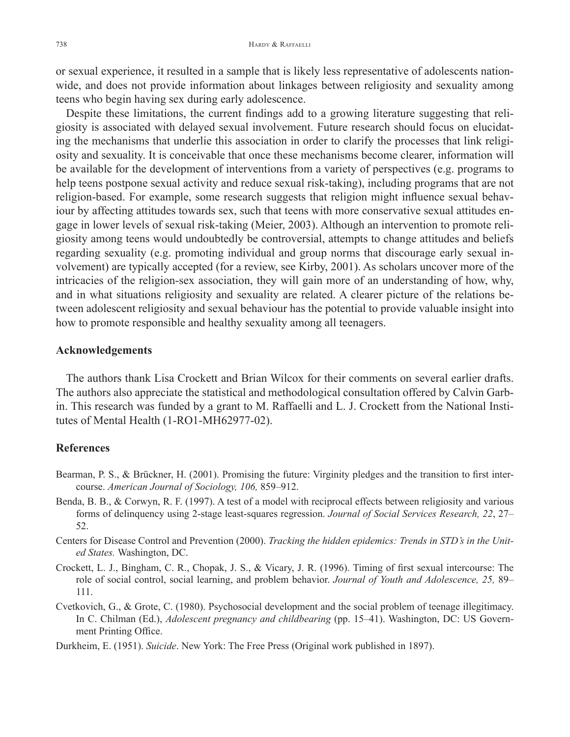or sexual experience, it resulted in a sample that is likely less representative of adolescents nationwide, and does not provide information about linkages between religiosity and sexuality among teens who begin having sex during early adolescence.

Despite these limitations, the current findings add to a growing literature suggesting that religiosity is associated with delayed sexual involvement. Future research should focus on elucidating the mechanisms that underlie this association in order to clarify the processes that link religiosity and sexuality. It is conceivable that once these mechanisms become clearer, information will be available for the development of interventions from a variety of perspectives (e.g. programs to help teens postpone sexual activity and reduce sexual risk-taking), including programs that are not religion-based. For example, some research suggests that religion might influence sexual behaviour by affecting attitudes towards sex, such that teens with more conservative sexual attitudes engage in lower levels of sexual risk-taking (Meier, 2003). Although an intervention to promote religiosity among teens would undoubtedly be controversial, attempts to change attitudes and beliefs regarding sexuality (e.g. promoting individual and group norms that discourage early sexual involvement) are typically accepted (for a review, see Kirby, 2001). As scholars uncover more of the intricacies of the religion-sex association, they will gain more of an understanding of how, why, and in what situations religiosity and sexuality are related. A clearer picture of the relations between adolescent religiosity and sexual behaviour has the potential to provide valuable insight into how to promote responsible and healthy sexuality among all teenagers.

#### **Acknowledgements**

The authors thank Lisa Crockett and Brian Wilcox for their comments on several earlier drafts. The authors also appreciate the statistical and methodological consultation offered by Calvin Garbin. This research was funded by a grant to M. Raffaelli and L. J. Crockett from the National Institutes of Mental Health (1-RO1-MH62977-02).

#### **References**

- Bearman, P. S., & Brückner, H. (2001). Promising the future: Virginity pledges and the transition to first intercourse. *American Journal of Sociology, 106,* 859–912.
- Benda, B. B., & Corwyn, R. F. (1997). A test of a model with reciprocal effects between religiosity and various forms of delinquency using 2-stage least-squares regression. *Journal of Social Services Research, 22*, 27– 52.
- Centers for Disease Control and Prevention (2000). *Tracking the hidden epidemics: Trends in STD's in the United States.* Washington, DC.
- Crockett, L. J., Bingham, C. R., Chopak, J. S., & Vicary, J. R. (1996). Timing of first sexual intercourse: The role of social control, social learning, and problem behavior. *Journal of Youth and Adolescence, 25,* 89– 111.
- Cvetkovich, G., & Grote, C. (1980). Psychosocial development and the social problem of teenage illegitimacy. In C. Chilman (Ed.), *Adolescent pregnancy and childbearing* (pp. 15–41). Washington, DC: US Government Printing Office.
- Durkheim, E. (1951). *Suicide*. New York: The Free Press (Original work published in 1897).